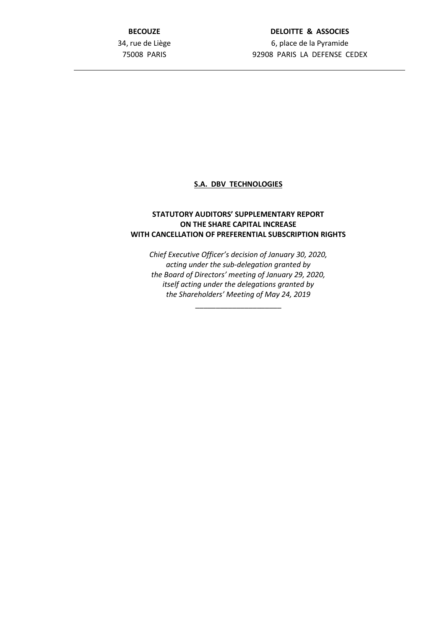**BECOUZE** 34, rue de Liège 75008 PARIS

## **DELOITTE & ASSOCIES** 6, place de la Pyramide 92908 PARIS LA DEFENSE CEDEX

## **S.A. DBV TECHNOLOGIES**

## **STATUTORY AUDITORS' SUPPLEMENTARY REPORT ON THE SHARE CAPITAL INCREASE WITH CANCELLATION OF PREFERENTIAL SUBSCRIPTION RIGHTS**

*Chief Executive Officer's decision of January 30, 2020, acting under the sub-delegation granted by the Board of Directors' meeting of January 29, 2020, itself acting under the delegations granted by the Shareholders' Meeting of May 24, 2019*

\_\_\_\_\_\_\_\_\_\_\_\_\_\_\_\_\_\_\_\_\_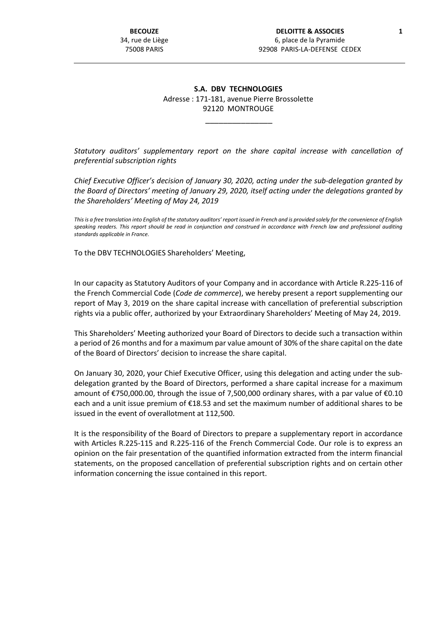## **S.A. DBV TECHNOLOGIES** Adresse : 171-181, avenue Pierre Brossolette 92120 MONTROUGE

\_\_\_\_\_\_\_\_\_\_\_\_\_\_\_

*Statutory auditors' supplementary report on the share capital increase with cancellation of preferential subscription rights*

*Chief Executive Officer's decision of January 30, 2020, acting under the sub-delegation granted by the Board of Directors' meeting of January 29, 2020, itself acting under the delegations granted by the Shareholders' Meeting of May 24, 2019*

*This is a free translation into English of the statutory auditors' report issued in French and is provided solely for the convenience of English speaking readers. This report should be read in conjunction and construed in accordance with French law and professional auditing standards applicable in France.*

To the DBV TECHNOLOGIES Shareholders' Meeting,

In our capacity as Statutory Auditors of your Company and in accordance with Article R.225-116 of the French Commercial Code (*Code de commerce*), we hereby present a report supplementing our report of May 3, 2019 on the share capital increase with cancellation of preferential subscription rights via a public offer, authorized by your Extraordinary Shareholders' Meeting of May 24, 2019.

This Shareholders' Meeting authorized your Board of Directors to decide such a transaction within a period of 26 months and for a maximum par value amount of 30% of the share capital on the date of the Board of Directors' decision to increase the share capital.

On January 30, 2020, your Chief Executive Officer, using this delegation and acting under the subdelegation granted by the Board of Directors, performed a share capital increase for a maximum amount of €750,000.00, through the issue of 7,500,000 ordinary shares, with a par value of €0.10 each and a unit issue premium of €18.53 and set the maximum number of additional shares to be issued in the event of overallotment at 112,500.

It is the responsibility of the Board of Directors to prepare a supplementary report in accordance with Articles R.225-115 and R.225-116 of the French Commercial Code. Our role is to express an opinion on the fair presentation of the quantified information extracted from the interm financial statements, on the proposed cancellation of preferential subscription rights and on certain other information concerning the issue contained in this report.